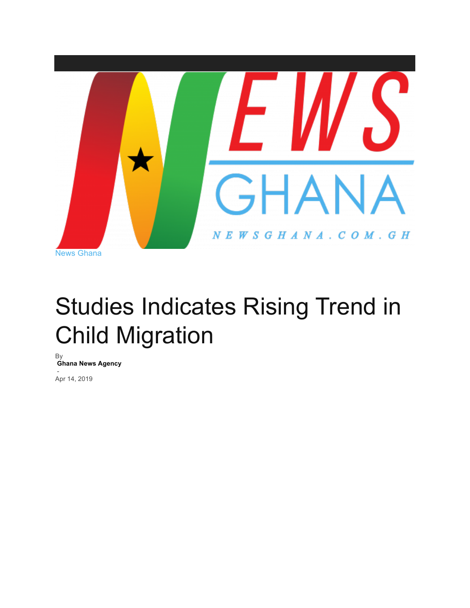

## Studies Indicates Rising Trend in Child Migration

By **Ghana News Agency** - Apr 14, 2019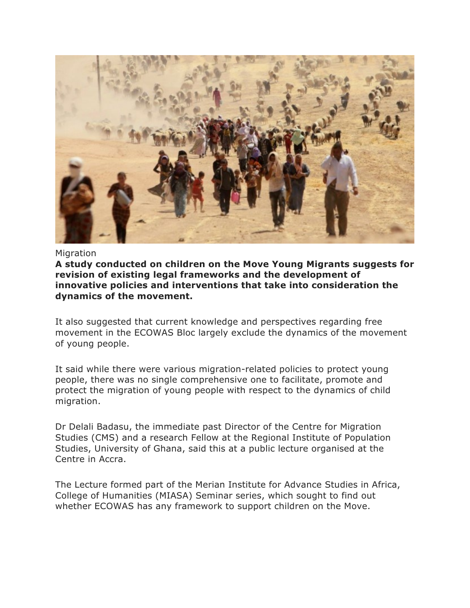

**Migration** 

**A study conducted on children on the Move Young Migrants suggests for revision of existing legal frameworks and the development of innovative policies and interventions that take into consideration the dynamics of the movement.**

It also suggested that current knowledge and perspectives regarding free movement in the ECOWAS Bloc largely exclude the dynamics of the movement of young people.

It said while there were various migration-related policies to protect young people, there was no single comprehensive one to facilitate, promote and protect the migration of young people with respect to the dynamics of child migration.

Dr Delali Badasu, the immediate past Director of the Centre for Migration Studies (CMS) and a research Fellow at the Regional Institute of Population Studies, University of Ghana, said this at a public lecture organised at the Centre in Accra.

The Lecture formed part of the Merian Institute for Advance Studies in Africa, College of Humanities (MIASA) Seminar series, which sought to find out whether ECOWAS has any framework to support children on the Move.